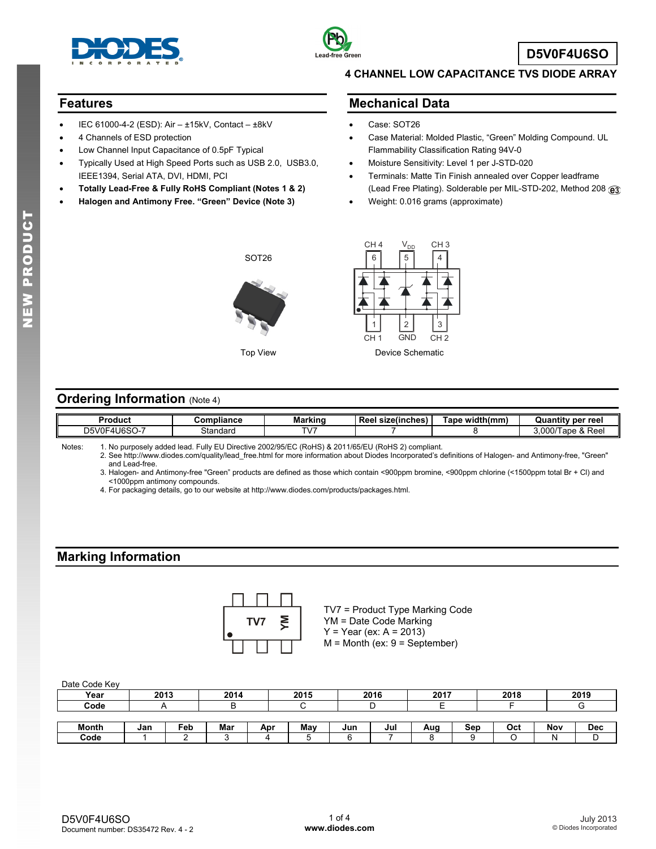



### **Features**

- IEC 61000-4-2 (ESD): Air ±15kV, Contact ±8kV
- 4 Channels of ESD protection
- Low Channel Input Capacitance of 0.5pF Typical
- Typically Used at High Speed Ports such as USB 2.0, USB3.0, IEEE1394, Serial ATA, DVI, HDMI, PCI
- **Totally Lead-Free & Fully RoHS Compliant (Notes 1 & 2)**
- **Halogen and Antimony Free. "Green" Device (Note 3)**

## **4 CHANNEL LOW CAPACITANCE TVS DIODE ARRAY**

### **Mechanical Data**

- Case: SOT26
- Case Material: Molded Plastic, "Green" Molding Compound. UL Flammability Classification Rating 94V-0
- Moisture Sensitivity: Level 1 per J-STD-020
- Terminals: Matte Tin Finish annealed over Copper leadframe (Lead Free Plating). Solderable per MIL-STD-202, Method 208
- Weight: 0.016 grams (approximate)





## **Ordering Information (Note 4)**

| Product                 | <b>;ompliance</b> | <br>Markinc | $\sim$<br>Reel<br>size(inches) | width(mm)<br>ape"<br>лин | ' per reel<br>Quantitv                       |
|-------------------------|-------------------|-------------|--------------------------------|--------------------------|----------------------------------------------|
| <b>J6SO-7</b><br>D5V0F4 | Standaro          | TV.         |                                |                          | $^{\circ}$ Reel<br>0.007<br>lane &<br>J.UUU/ |

| Notes: | 1. No purposely added lead. Fully EU Directive 2002/95/EC (RoHS) & 2011/65/EU (RoHS 2) compliant. |
|--------|---------------------------------------------------------------------------------------------------|
|        |                                                                                                   |

 2. See [http://www.diodes.com/quality/lead\\_free.html fo](http://www.diodes.com/quality/lead_free.html)r more information about Diodes Incorporated's definitions of Halogen- and Antimony-free, "Green" and Lead-free.

 3. Halogen- and Antimony-free "Green" products are defined as those which contain <900ppm bromine, <900ppm chlorine (<1500ppm total Br + Cl) and <1000ppm antimony compounds.

4. For packaging details, go to our website at [http://www.diodes.com/products/packages.html.](http://www.diodes.com/products/packages.html) 

# **Marking Information**



TV7 = Product Type Marking Code YM = Date Code Marking  $Y = Year (ex: A = 2013)$  $M =$  Month (ex:  $9 =$  September)

| Year         | 2013 |     | 2014 |     | 2015 |     | 2016 | 2017 |     | 2018 |     | 2019 |
|--------------|------|-----|------|-----|------|-----|------|------|-----|------|-----|------|
| Code         |      |     |      |     |      |     |      |      |     |      |     |      |
|              |      |     |      |     |      |     |      |      |     |      |     |      |
| <b>Month</b> | Jan  | Feb | Mar  | Apr | May  | Jun | Jul  | Aug  | Sep | Oct  | Nov | Dec  |
| Code         |      |     |      |     |      |     |      |      |     |      | N   |      |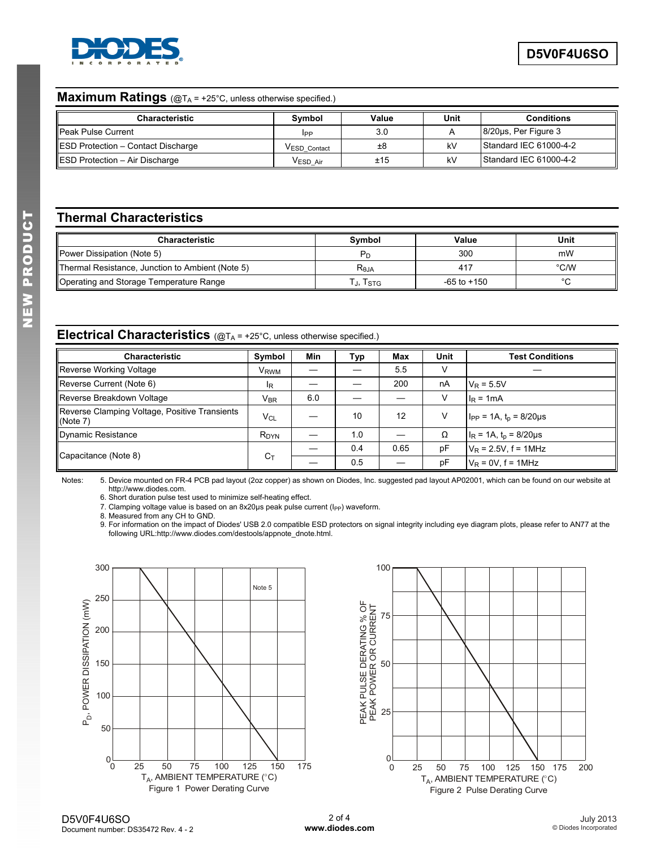

## **Maximum Ratings** (@TA = +25°C, unless otherwise specified.)

| <b>Characteristic</b>              | Symbol       | Value | Unit | <b>Conditions</b>          |
|------------------------------------|--------------|-------|------|----------------------------|
| <b>I</b> Peak Pulse Current        | IPP          | 3.0   |      | $8/20\mu s$ , Per Figure 3 |
| ESD Protection - Contact Discharge | VESD Contact | ±8    | kV   | Standard IEC 61000-4-2     |
| ESD Protection - Air Discharge     | VESD Air     | ±15   | kV   | Standard IEC 61000-4-2     |

# **Thermal Characteristics**

| <b>Characteristic</b>                            | Symbol     | Value           | Unit    |
|--------------------------------------------------|------------|-----------------|---------|
| Power Dissipation (Note 5)                       | $P_D$      | 300             | mW      |
| Thermal Resistance, Junction to Ambient (Note 5) | $R_{0,IA}$ | 417             | °C/W    |
| Operating and Storage Temperature Range          | J, ISTG    | $-65$ to $+150$ | $\circ$ |

## **Electrical Characteristics** (@T<sub>A</sub> = +25°C, unless otherwise specified.)

| <b>Characteristic</b>                                     | Symbol                    | Min | Typ | Max  | Unit | <b>Test Conditions</b>          |
|-----------------------------------------------------------|---------------------------|-----|-----|------|------|---------------------------------|
| Reverse Working Voltage                                   | <b>V<sub>RWM</sub></b>    |     |     | 5.5  | V    |                                 |
| Reverse Current (Note 6)                                  | $\mathsf{I}_{\mathsf{R}}$ |     |     | 200  | nA   | $V_R = 5.5V$                    |
| Reverse Breakdown Voltage                                 | $V_{\text{BR}}$           | 6.0 |     |      | v    | $I_R = 1mA$                     |
| Reverse Clamping Voltage, Positive Transients<br>(Note 7) | $V_{\text{Cl}}$           |     | 10  | 12   | V    | $I_{PP}$ = 1A, $t_p$ = 8/20µs   |
| <b>Dynamic Resistance</b>                                 | R <sub>DYN</sub>          |     | 1.0 |      | Ω    | $I_R = 1A$ , $t_p = 8/20 \mu s$ |
| Capacitance (Note 8)                                      |                           |     | 0.4 | 0.65 | pF   | $V_R$ = 2.5V, f = 1MHz          |
|                                                           | $C_T$                     |     | 0.5 |      | pF   | $V_R = 0V$ , $f = 1MHz$         |

Notes: 5. Device mounted on FR-4 PCB pad layout (2oz copper) as shown on Diodes, Inc. suggested pad layout AP02001, which can be found on our website at [http://www.diodes.com.](http://www.diodes.com) 

6. Short duration pulse test used to minimize self-heating effect.

7. Clamping voltage value is based on an  $8x20\mu s$  peak pulse current ( $I_{PP}$ ) waveform.

8. Measured from any CH to GND.

9. For information on the impact of Diodes' USB 2.0 compatible ESD protectors on signal integrity including eye diagram plots, please refer to AN77 at the following URL:[http://www.diodes.com/destools/appnote\\_dnote.html.](http://www.diodes.com/destools/appnote_dnote.html) 



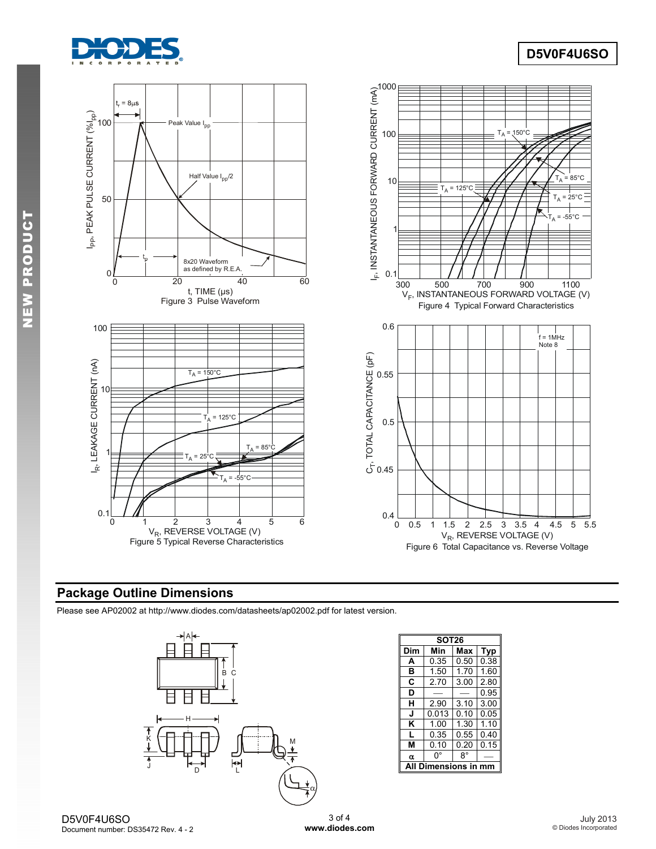

# **D5V0F4U6SO**



# **Package Outline Dimensions**

Please see AP02002 at [http://www.diodes.com/datasheets/ap02002.pdf fo](http://www.diodes.com/datasheets/ap02002.pdf)r latest version.



|     | <b>SOT26</b>         |      |      |  |  |  |  |  |
|-----|----------------------|------|------|--|--|--|--|--|
| Dim | Min                  | Max  | Typ  |  |  |  |  |  |
| A   | 0.35                 | 0.50 | 0.38 |  |  |  |  |  |
| в   | 1.50                 | 1.70 | 1.60 |  |  |  |  |  |
| C   | 2.70                 | 3.00 | 2.80 |  |  |  |  |  |
| D   |                      |      | 0.95 |  |  |  |  |  |
| н   | 2.90                 | 3.10 | 3.00 |  |  |  |  |  |
| J   | 0.013                | 0.10 | 0.05 |  |  |  |  |  |
| κ   | 1.00                 | 1.30 | 1.10 |  |  |  |  |  |
| L   | 0.35                 | 0.55 | 0.40 |  |  |  |  |  |
| м   | 0.10                 | 0.20 | 0.15 |  |  |  |  |  |
| α   | 0°                   | 8°   |      |  |  |  |  |  |
|     | <b>Dimensions in</b> |      |      |  |  |  |  |  |